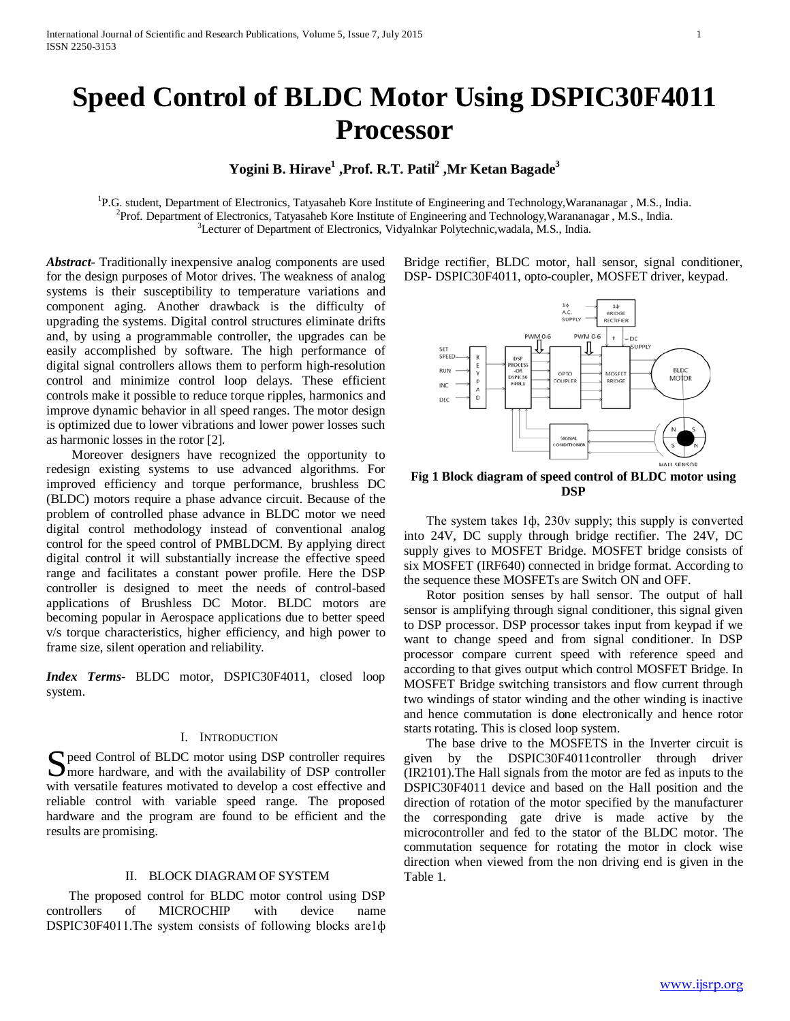# **Speed Control of BLDC Motor Using DSPIC30F4011 Processor**

## **Yogini B. Hirave1 ,Prof. R.T. Patil2 ,Mr Ketan Bagade3**

<sup>1</sup>P.G. student, Department of Electronics, Tatyasaheb Kore Institute of Engineering and Technology, Warananagar , M.S., India. Prof. Department of Electronics, Tatyasaheb Kore Institute of Engineering and Technology,Warananagar , M.S., India. <sup>3</sup>Lecturer of Department of Electronics, Vidyalnkar Polytechnic, wadala, M.S., India.

*Abstract***-** Traditionally inexpensive analog components are used for the design purposes of Motor drives. The weakness of analog systems is their susceptibility to temperature variations and component aging. Another drawback is the difficulty of upgrading the systems. Digital control structures eliminate drifts and, by using a programmable controller, the upgrades can be easily accomplished by software. The high performance of digital signal controllers allows them to perform high-resolution control and minimize control loop delays. These efficient controls make it possible to reduce torque ripples, harmonics and improve dynamic behavior in all speed ranges. The motor design is optimized due to lower vibrations and lower power losses such as harmonic losses in the rotor [2].

 Moreover designers have recognized the opportunity to redesign existing systems to use advanced algorithms. For improved efficiency and torque performance, brushless DC (BLDC) motors require a phase advance circuit. Because of the problem of controlled phase advance in BLDC motor we need digital control methodology instead of conventional analog control for the speed control of PMBLDCM. By applying direct digital control it will substantially increase the effective speed range and facilitates a constant power profile. Here the DSP controller is designed to meet the needs of control-based applications of Brushless DC Motor. BLDC motors are becoming popular in Aerospace applications due to better speed v/s torque characteristics, higher efficiency, and high power to frame size, silent operation and reliability.

*Index Terms*- BLDC motor, DSPIC30F4011, closed loop system.

### I. INTRODUCTION

S peed Control of BLDC motor using DSP controller requires<br>
Smore hardware, and with the availability of DSP controller **I** more hardware, and with the availability of DSP controller with versatile features motivated to develop a cost effective and reliable control with variable speed range. The proposed hardware and the program are found to be efficient and the results are promising.

## II. BLOCK DIAGRAM OF SYSTEM

 The proposed control for BLDC motor control using DSP controllers of MICROCHIP with device name DSPIC30F4011.The system consists of following blocks are1 $\phi$  Bridge rectifier, BLDC motor, hall sensor, signal conditioner, DSP- DSPIC30F4011, opto-coupler, MOSFET driver, keypad.



**Fig 1 Block diagram of speed control of BLDC motor using DSP**

 The system takes 1ф, 230v supply; this supply is converted into 24V, DC supply through bridge rectifier. The 24V, DC supply gives to MOSFET Bridge. MOSFET bridge consists of six MOSFET (IRF640) connected in bridge format. According to the sequence these MOSFETs are Switch ON and OFF.

 Rotor position senses by hall sensor. The output of hall sensor is amplifying through signal conditioner, this signal given to DSP processor. DSP processor takes input from keypad if we want to change speed and from signal conditioner. In DSP processor compare current speed with reference speed and according to that gives output which control MOSFET Bridge. In MOSFET Bridge switching transistors and flow current through two windings of stator winding and the other winding is inactive and hence commutation is done electronically and hence rotor starts rotating. This is closed loop system.

 The base drive to the MOSFETS in the Inverter circuit is given by the DSPIC30F4011controller through driver (IR2101).The Hall signals from the motor are fed as inputs to the DSPIC30F4011 device and based on the Hall position and the direction of rotation of the motor specified by the manufacturer the corresponding gate drive is made active by the microcontroller and fed to the stator of the BLDC motor. The commutation sequence for rotating the motor in clock wise direction when viewed from the non driving end is given in the Table 1.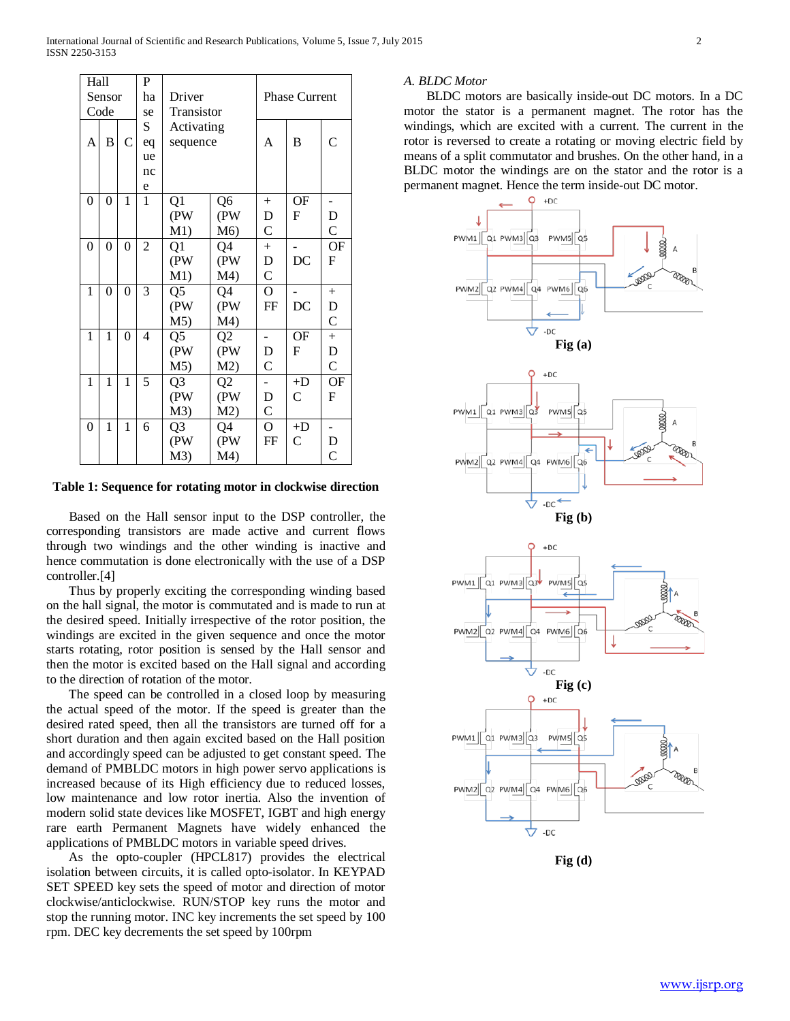| Hall         |                 | P                |                |                |                |                      |                |                |  |  |
|--------------|-----------------|------------------|----------------|----------------|----------------|----------------------|----------------|----------------|--|--|
| Sensor       |                 |                  | ha             | Driver         |                | <b>Phase Current</b> |                |                |  |  |
| Code         |                 |                  | se             | Transistor     |                |                      |                |                |  |  |
|              | S<br>Activating |                  |                |                |                |                      |                |                |  |  |
| A            | B               | $\overline{C}$   | eq             | sequence       |                | A                    | B              | $\overline{C}$ |  |  |
|              |                 |                  | ue             |                |                |                      |                |                |  |  |
|              |                 |                  | nc             |                |                |                      |                |                |  |  |
|              |                 |                  | e              |                |                |                      |                |                |  |  |
| 0            | 0               | 1                | $\mathbf{1}$   | Q1             | $+$            | <b>OF</b>            |                |                |  |  |
|              |                 |                  |                | (PW            | (PW            | D                    | F              | D              |  |  |
|              |                 |                  |                | M1)            | M6)            | $\mathsf{C}$         |                | $\mathsf{C}$   |  |  |
| 0            | $\overline{0}$  | $\boldsymbol{0}$ | $\overline{2}$ | Q1             | Q4             | $^{+}$               |                | <b>OF</b>      |  |  |
|              |                 |                  |                | (PW            | (PW            | D                    | DC             | F              |  |  |
|              |                 |                  |                | M1)            | M4)            | $\mathsf{C}$         |                |                |  |  |
| 1            | $\overline{0}$  | $\mathbf{0}$     | 3              | Q <sub>5</sub> | Q4             | $\overline{O}$       |                | $^{+}$         |  |  |
|              |                 |                  |                | (PW            | (PW            | FF                   | DC             | D              |  |  |
|              |                 |                  |                | M <sub>5</sub> | M4)            |                      |                | $\mathcal{C}$  |  |  |
| $\mathbf{1}$ | 1               | $\overline{0}$   | $\overline{4}$ | Q <sub>5</sub> | Q2             |                      | <b>OF</b>      | $^{+}$         |  |  |
|              |                 |                  |                | (PW            | (PW            | D                    | $\mathbf F$    | D              |  |  |
|              |                 |                  |                | M <sub>5</sub> | M2)            | $\overline{C}$       |                | $\mathsf{C}$   |  |  |
| $\mathbf{1}$ | 1               | 1                | 5              | Q <sub>3</sub> | Q <sub>2</sub> |                      | $+D$           | OF             |  |  |
|              |                 |                  |                | (PW            | (PW            | D                    | $\mathsf{C}$   | F              |  |  |
|              |                 |                  |                | M3)            | M2)            | $\overline{C}$       |                |                |  |  |
| 0            | 1               | 1                | 6              | Q <sub>3</sub> | Q4             | $\overline{O}$       | $+D$           |                |  |  |
|              |                 |                  |                | (PW            | (PW            | FF                   | $\overline{C}$ | D              |  |  |
|              |                 |                  |                | M3)            | M4)            |                      |                | $\overline{C}$ |  |  |

**Table 1: Sequence for rotating motor in clockwise direction**

 Based on the Hall sensor input to the DSP controller, the corresponding transistors are made active and current flows through two windings and the other winding is inactive and hence commutation is done electronically with the use of a DSP controller.[4]

 Thus by properly exciting the corresponding winding based on the hall signal, the motor is commutated and is made to run at the desired speed. Initially irrespective of the rotor position, the windings are excited in the given sequence and once the motor starts rotating, rotor position is sensed by the Hall sensor and then the motor is excited based on the Hall signal and according to the direction of rotation of the motor.

 The speed can be controlled in a closed loop by measuring the actual speed of the motor. If the speed is greater than the desired rated speed, then all the transistors are turned off for a short duration and then again excited based on the Hall position and accordingly speed can be adjusted to get constant speed. The demand of PMBLDC motors in high power servo applications is increased because of its High efficiency due to reduced losses, low maintenance and low rotor inertia. Also the invention of modern solid state devices like MOSFET, IGBT and high energy rare earth Permanent Magnets have widely enhanced the applications of PMBLDC motors in variable speed drives.

 As the opto-coupler (HPCL817) provides the electrical isolation between circuits, it is called opto-isolator. In KEYPAD SET SPEED key sets the speed of motor and direction of motor clockwise/anticlockwise. RUN/STOP key runs the motor and stop the running motor. INC key increments the set speed by 100 rpm. DEC key decrements the set speed by 100rpm

### *A. BLDC Motor*

 BLDC motors are basically inside-out DC motors. In a DC motor the stator is a permanent magnet. The rotor has the windings, which are excited with a current. The current in the rotor is reversed to create a rotating or moving electric field by means of a split commutator and brushes. On the other hand, in a BLDC motor the windings are on the stator and the rotor is a permanent magnet. Hence the term inside-out DC motor.



**Fig (d)**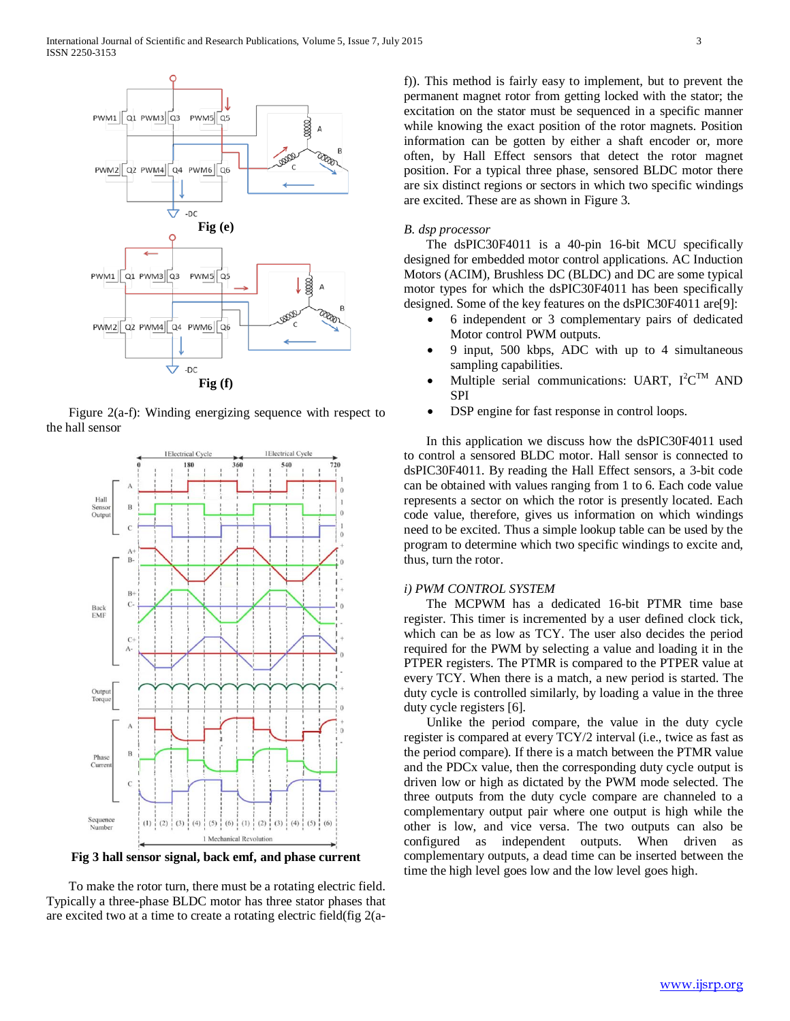

 Figure 2(a-f): Winding energizing sequence with respect to the hall sensor



**Fig 3 hall sensor signal, back emf, and phase current**

 To make the rotor turn, there must be a rotating electric field. Typically a three-phase BLDC motor has three stator phases that are excited two at a time to create a rotating electric field(fig 2(af)). This method is fairly easy to implement, but to prevent the permanent magnet rotor from getting locked with the stator; the excitation on the stator must be sequenced in a specific manner while knowing the exact position of the rotor magnets. Position information can be gotten by either a shaft encoder or, more often, by Hall Effect sensors that detect the rotor magnet position. For a typical three phase, sensored BLDC motor there are six distinct regions or sectors in which two specific windings are excited. These are as shown in Figure 3.

## *B. dsp processor*

 The dsPIC30F4011 is a 40-pin 16-bit MCU specifically designed for embedded motor control applications. AC Induction Motors (ACIM), Brushless DC (BLDC) and DC are some typical motor types for which the dsPIC30F4011 has been specifically designed. Some of the key features on the dsPIC30F4011 are[9]:

- 6 independent or 3 complementary pairs of dedicated Motor control PWM outputs.
- 9 input, 500 kbps, ADC with up to 4 simultaneous sampling capabilities.
- Multiple serial communications: UART,  $I^2C^{TM}$  AND SPI
- DSP engine for fast response in control loops.

 In this application we discuss how the dsPIC30F4011 used to control a sensored BLDC motor. Hall sensor is connected to dsPIC30F4011. By reading the Hall Effect sensors, a 3-bit code can be obtained with values ranging from 1 to 6. Each code value represents a sector on which the rotor is presently located. Each code value, therefore, gives us information on which windings need to be excited. Thus a simple lookup table can be used by the program to determine which two specific windings to excite and, thus, turn the rotor.

## *i) PWM CONTROL SYSTEM*

 The MCPWM has a dedicated 16-bit PTMR time base register. This timer is incremented by a user defined clock tick, which can be as low as TCY. The user also decides the period required for the PWM by selecting a value and loading it in the PTPER registers. The PTMR is compared to the PTPER value at every TCY. When there is a match, a new period is started. The duty cycle is controlled similarly, by loading a value in the three duty cycle registers [6].

 Unlike the period compare, the value in the duty cycle register is compared at every TCY/2 interval (i.e., twice as fast as the period compare). If there is a match between the PTMR value and the PDCx value, then the corresponding duty cycle output is driven low or high as dictated by the PWM mode selected. The three outputs from the duty cycle compare are channeled to a complementary output pair where one output is high while the other is low, and vice versa. The two outputs can also be configured as independent outputs. When driven as complementary outputs, a dead time can be inserted between the time the high level goes low and the low level goes high.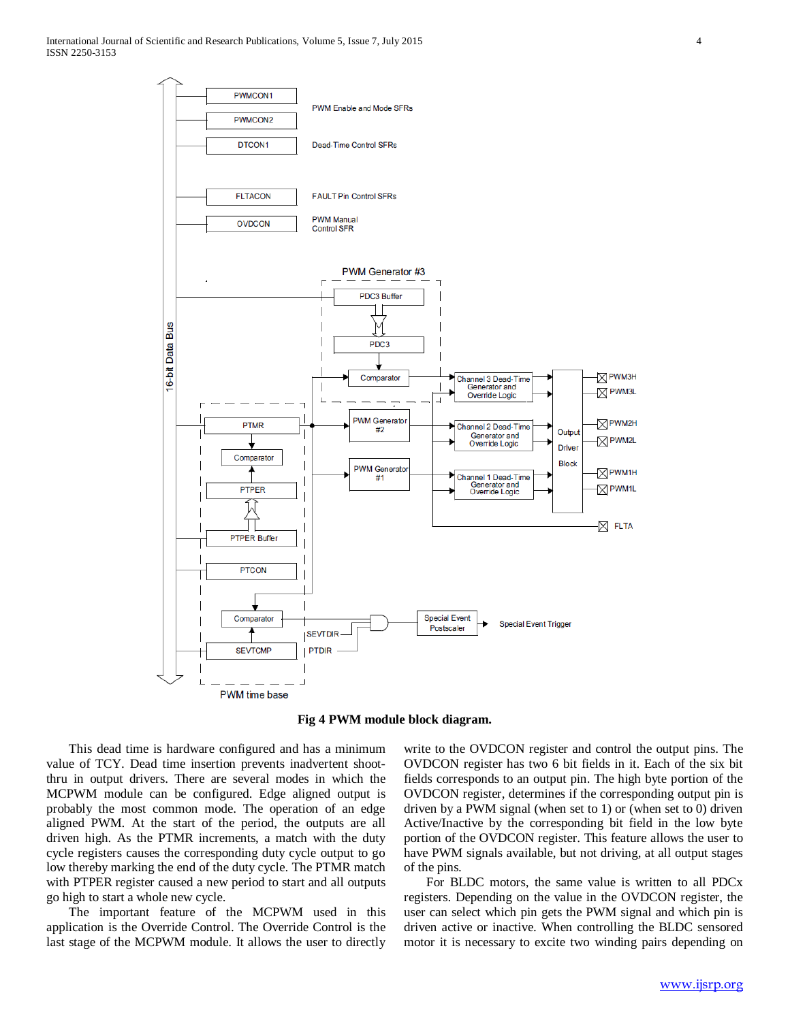

**Fig 4 PWM module block diagram.**

 This dead time is hardware configured and has a minimum value of TCY. Dead time insertion prevents inadvertent shootthru in output drivers. There are several modes in which the MCPWM module can be configured. Edge aligned output is probably the most common mode. The operation of an edge aligned PWM. At the start of the period, the outputs are all driven high. As the PTMR increments, a match with the duty cycle registers causes the corresponding duty cycle output to go low thereby marking the end of the duty cycle. The PTMR match with PTPER register caused a new period to start and all outputs go high to start a whole new cycle.

 The important feature of the MCPWM used in this application is the Override Control. The Override Control is the last stage of the MCPWM module. It allows the user to directly

write to the OVDCON register and control the output pins. The OVDCON register has two 6 bit fields in it. Each of the six bit fields corresponds to an output pin. The high byte portion of the OVDCON register, determines if the corresponding output pin is driven by a PWM signal (when set to 1) or (when set to 0) driven Active/Inactive by the corresponding bit field in the low byte portion of the OVDCON register. This feature allows the user to have PWM signals available, but not driving, at all output stages of the pins.

 For BLDC motors, the same value is written to all PDCx registers. Depending on the value in the OVDCON register, the user can select which pin gets the PWM signal and which pin is driven active or inactive. When controlling the BLDC sensored motor it is necessary to excite two winding pairs depending on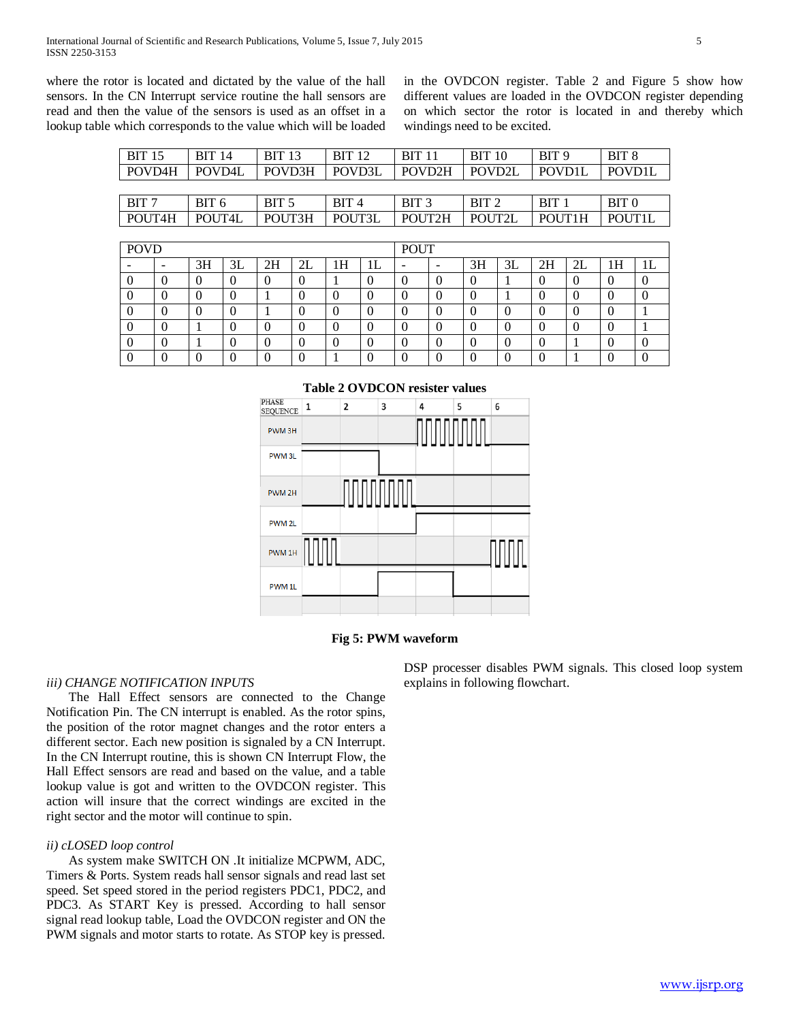where the rotor is located and dictated by the value of the hall sensors. In the CN Interrupt service routine the hall sensors are read and then the value of the sensors is used as an offset in a lookup table which corresponds to the value which will be loaded in the OVDCON register. Table 2 and Figure 5 show how different values are loaded in the OVDCON register depending on which sector the rotor is located in and thereby which windings need to be excited.

| <b>BIT 15</b> | <b>BIT 14</b> | <b>BIT 13</b>    | <b>BIT 12</b>  | <b>BIT 11</b>    | <b>BIT 10</b> | BIT 9         | BIT 8            |
|---------------|---------------|------------------|----------------|------------------|---------------|---------------|------------------|
| POVD4H        | POVD4L        | POVD3H           | $\vert$ POVD3L | POVD2H           | POVD2L        | <b>POVDIL</b> | <b>POVD1L</b>    |
|               |               |                  |                |                  |               |               |                  |
| BIT 7         | BIT 6         | BIT <sub>5</sub> | <b>BIT4</b>    | BIT <sub>3</sub> | BIT 2         | BIT 1         | BIT <sub>0</sub> |
| POUT4H        | POUT4L        | POUT3H           | POUT3L         | <b>POUT2H</b>    | POUT2L        | POUT1H        | POUTH.           |

| <b>POVD</b> |   |    |    |    |    |    | <b>POUT</b> |   |                          |    |    |    |    |    |  |
|-------------|---|----|----|----|----|----|-------------|---|--------------------------|----|----|----|----|----|--|
|             | - | 3H | 3L | 2H | 2L | 1H | ΙL          | - | $\overline{\phantom{a}}$ | 3H | 3L | 2H | 2L | 1H |  |
|             |   |    |    |    |    |    | υ           |   |                          |    |    |    |    |    |  |
|             |   |    |    |    |    |    |             |   |                          |    |    |    |    |    |  |
|             |   |    |    |    |    |    | U           |   |                          |    |    |    |    |    |  |
|             |   |    |    |    |    |    |             |   |                          |    |    |    |    |    |  |
|             |   |    |    |    |    |    | v           |   |                          |    |    |    |    |    |  |
|             |   |    |    |    |    |    |             |   |                          |    |    |    |    |    |  |



## **Table 2 OVDCON resister values**

## **Fig 5: PWM waveform**

## *iii) CHANGE NOTIFICATION INPUTS*

 The Hall Effect sensors are connected to the Change Notification Pin. The CN interrupt is enabled. As the rotor spins, the position of the rotor magnet changes and the rotor enters a different sector. Each new position is signaled by a CN Interrupt. In the CN Interrupt routine, this is shown CN Interrupt Flow, the Hall Effect sensors are read and based on the value, and a table lookup value is got and written to the OVDCON register. This action will insure that the correct windings are excited in the right sector and the motor will continue to spin.

### *ii) cLOSED loop control*

 As system make SWITCH ON .It initialize MCPWM, ADC, Timers & Ports. System reads hall sensor signals and read last set speed. Set speed stored in the period registers PDC1, PDC2, and PDC3. As START Key is pressed. According to hall sensor signal read lookup table, Load the OVDCON register and ON the PWM signals and motor starts to rotate. As STOP key is pressed.

DSP processer disables PWM signals. This closed loop system explains in following flowchart.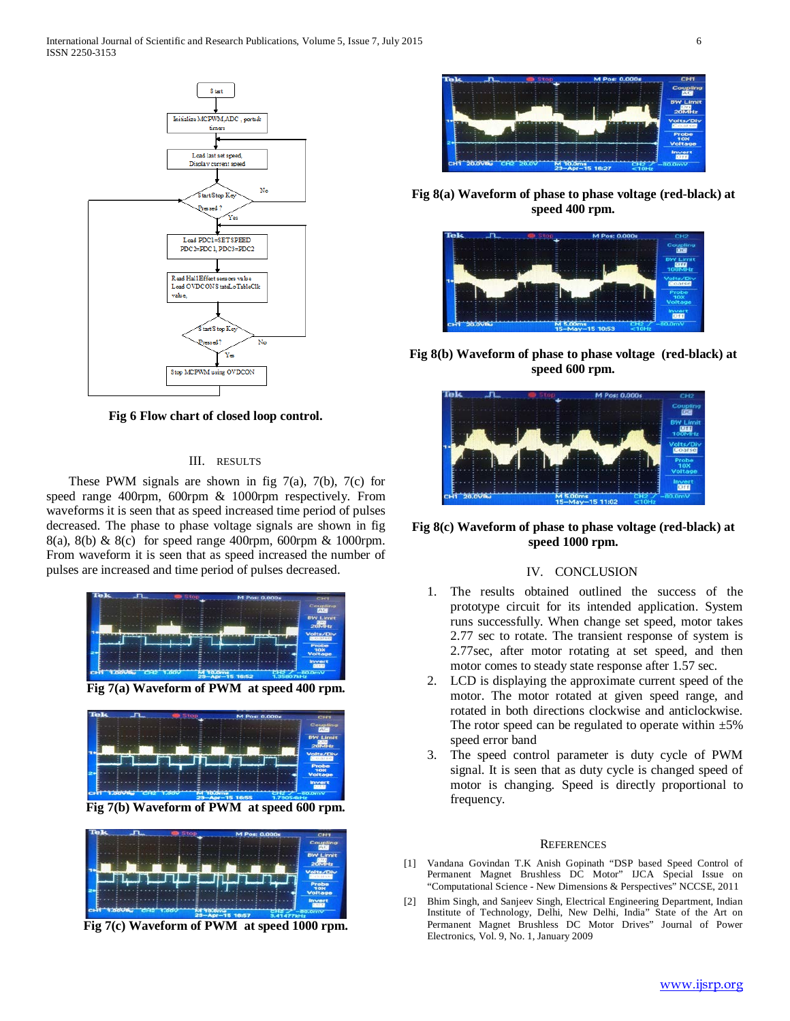International Journal of Scientific and Research Publications, Volume 5, Issue 7, July 2015 6 ISSN 2250-3153



**Fig 6 Flow chart of closed loop control.**

## III. RESULTS

These PWM signals are shown in fig  $7(a)$ ,  $7(b)$ ,  $7(c)$  for speed range 400rpm, 600rpm & 1000rpm respectively. From waveforms it is seen that as speed increased time period of pulses decreased. The phase to phase voltage signals are shown in fig 8(a), 8(b) & 8(c) for speed range 400rpm, 600rpm & 1000rpm. From waveform it is seen that as speed increased the number of pulses are increased and time period of pulses decreased.



**Fig 7(a) Waveform of PWM at speed 400 rpm.**



**Fig 7(b) Waveform of PWM at speed 600 rpm.**



**Fig 7(c) Waveform of PWM at speed 1000 rpm.**



**Fig 8(a) Waveform of phase to phase voltage (red-black) at speed 400 rpm.**



**Fig 8(b) Waveform of phase to phase voltage (red-black) at speed 600 rpm.**



**Fig 8(c) Waveform of phase to phase voltage (red-black) at speed 1000 rpm.**

## IV. CONCLUSION

- 1. The results obtained outlined the success of the prototype circuit for its intended application. System runs successfully. When change set speed, motor takes 2.77 sec to rotate. The transient response of system is 2.77sec, after motor rotating at set speed, and then motor comes to steady state response after 1.57 sec.
- 2. LCD is displaying the approximate current speed of the motor. The motor rotated at given speed range, and rotated in both directions clockwise and anticlockwise. The rotor speed can be regulated to operate within  $\pm 5\%$ speed error band
- 3. The speed control parameter is duty cycle of PWM signal. It is seen that as duty cycle is changed speed of motor is changing. Speed is directly proportional to frequency.

## **REFERENCES**

- [1] Vandana Govindan T.K Anish Gopinath "DSP based Speed Control of Permanent Magnet Brushless DC Motor" IJCA Special Issue on "Computational Science - New Dimensions & Perspectives" NCCSE, 2011
- [2] Bhim Singh, and Sanjeev Singh, Electrical Engineering Department, Indian Institute of Technology, Delhi, New Delhi, India" State of the Art on Permanent Magnet Brushless DC Motor Drives" Journal of Power Electronics, Vol. 9, No. 1, January 2009